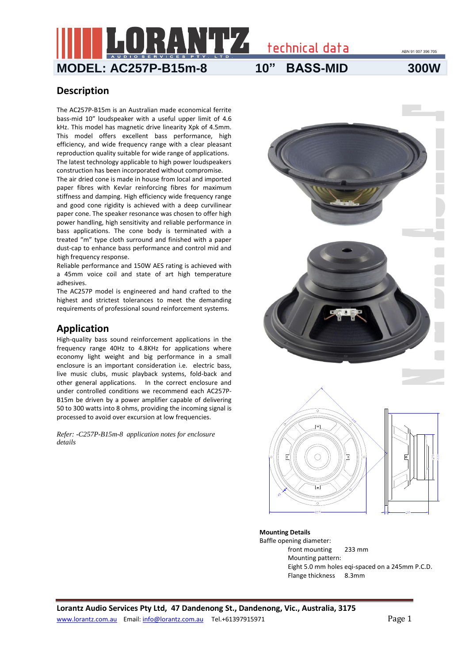ABN 91 007 396 705

# **MODEL: AC257P-B15m-8 10" BASS-MID 300W**

technical data

## **Description**

The AC257P-B15m is an Australian made economical ferrite bass-mid 10" loudspeaker with a useful upper limit of 4.6 kHz. This model has magnetic drive linearity Xpk of 4.5mm. This model offers excellent bass performance, high efficiency, and wide frequency range with a clear pleasant reproduction quality suitable for wide range of applications. The latest technology applicable to high power loudspeakers construction has been incorporated without compromise.

The air dried cone is made in house from local and imported paper fibres with Kevlar reinforcing fibres for maximum stiffness and damping. High efficiency wide frequency range and good cone rigidity is achieved with a deep curvilinear paper cone. The speaker resonance was chosen to offer high power handling, high sensitivity and reliable performance in bass applications. The cone body is terminated with a treated "m" type cloth surround and finished with a paper dust-cap to enhance bass performance and control mid and high frequency response.

Reliable performance and 150W AES rating is achieved with a 45mm voice coil and state of art high temperature adhesives.

The AC257P model is engineered and hand crafted to the highest and strictest tolerances to meet the demanding requirements of professional sound reinforcement systems.

### **Application**

High-quality bass sound reinforcement applications in the frequency range 40Hz to 4.8KHz for applications where economy light weight and big performance in a small enclosure is an important consideration i.e. electric bass, live music clubs, music playback systems, fold-back and other general applications. In the correct enclosure and under controlled conditions we recommend each AC257P-B15m be driven by a power amplifier capable of delivering 50 to 300 watts into 8 ohms, providing the incoming signal is processed to avoid over excursion at low frequencies.

*Refer: -C257P-B15m-8 application notes for enclosure details*



Baffle opening diameter: front mounting 233 mm Mounting pattern: Eight 5.0 mm holes eqi-spaced on a 245mm P.C.D. Flange thickness 8.3mm